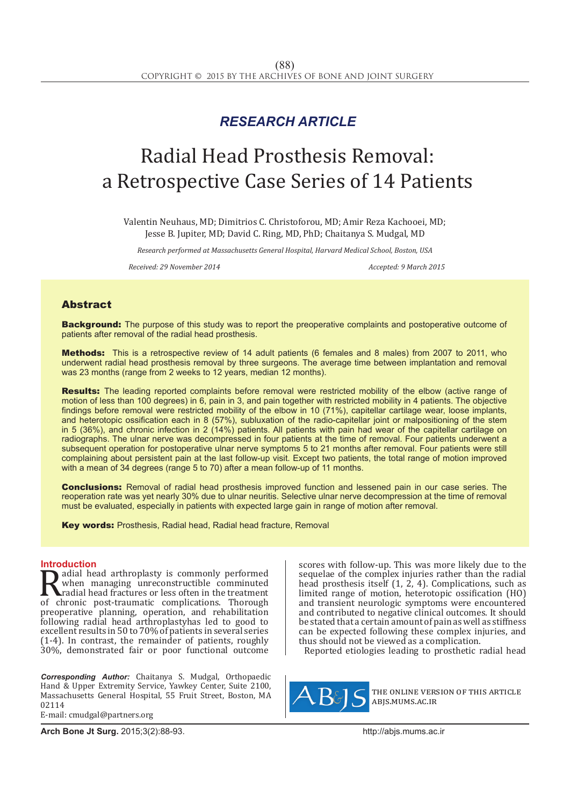## *RESEARCH ARTICLE*

# Radial Head Prosthesis Removal: a Retrospective Case Series of 14 Patients

Valentin Neuhaus, MD; Dimitrios C. Christoforou, MD; Amir Reza Kachooei, MD; Jesse B. Jupiter, MD; David C. Ring, MD, PhD; Chaitanya S. Mudgal, MD

*Research performed at Massachusetts General Hospital, Harvard Medical School, Boston, USA*

*Received: 29 November 2014 Accepted: 9 March 2015*

### Abstract

**Background:** The purpose of this study was to report the preoperative complaints and postoperative outcome of patients after removal of the radial head prosthesis.

Methods: This is a retrospective review of 14 adult patients (6 females and 8 males) from 2007 to 2011, who underwent radial head prosthesis removal by three surgeons. The average time between implantation and removal was 23 months (range from 2 weeks to 12 years, median 12 months).

Results: The leading reported complaints before removal were restricted mobility of the elbow (active range of motion of less than 100 degrees) in 6, pain in 3, and pain together with restricted mobility in 4 patients. The objective findings before removal were restricted mobility of the elbow in 10 (71%), capitellar cartilage wear, loose implants, and heterotopic ossification each in 8 (57%), subluxation of the radio-capitellar joint or malpositioning of the stem in 5 (36%), and chronic infection in 2 (14%) patients. All patients with pain had wear of the capitellar cartilage on radiographs. The ulnar nerve was decompressed in four patients at the time of removal. Four patients underwent a subsequent operation for postoperative ulnar nerve symptoms 5 to 21 months after removal. Four patients were still complaining about persistent pain at the last follow-up visit. Except two patients, the total range of motion improved with a mean of 34 degrees (range 5 to 70) after a mean follow-up of 11 months.

**Conclusions:** Removal of radial head prosthesis improved function and lessened pain in our case series. The reoperation rate was yet nearly 30% due to ulnar neuritis. Selective ulnar nerve decompression at the time of removal must be evaluated, especially in patients with expected large gain in range of motion after removal.

Key words: Prosthesis, Radial head, Radial head fracture, Removal

**Introduction**<br>**In** adial head arthroplasty is commonly performed **Radial head arthroplasty is commonly performed**<br>when managing unreconstructible comminuted<br>of chronic post-traumatic complications. Thorough<br>preoperative planning operation and rehabilitation when managing unreconstructible comminuted radial head fractures or less often in the treatment of chronic post-traumatic complications. Thorough preoperative planning, operation, and rehabilitation following radial head arthroplastyhas led to good to excellent results in 50 to 70% of patients in several series (1-4). In contrast, the remainder of patients, roughly 30%, demonstrated fair or poor functional outcome

*Corresponding Author:* Chaitanya S. Mudgal, Orthopaedic Hand & Upper Extremity Service, Yawkey Center, Suite 2100, Massachusetts General Hospital, 55 Fruit Street, Boston, MA 02114

E-mail: cmudgal@partners.org

scores with follow-up. This was more likely due to the sequelae of the complex injuries rather than the radial head prosthesis itself (1, 2, 4). Complications, such as limited range of motion, heterotopic ossification (HO) and transient neurologic symptoms were encountered and contributed to negative clinical outcomes. It should be stated that a certain amount of pain as well as stiffness can be expected following these complex injuries, and thus should not be viewed as a complication.

Reported etiologies leading to prosthetic radial head



the online version of this article abjs.mums.ac.ir

**Arch Bone Jt Surg.** 2015;3(2):88-93.http://abjs.mums.ac.ir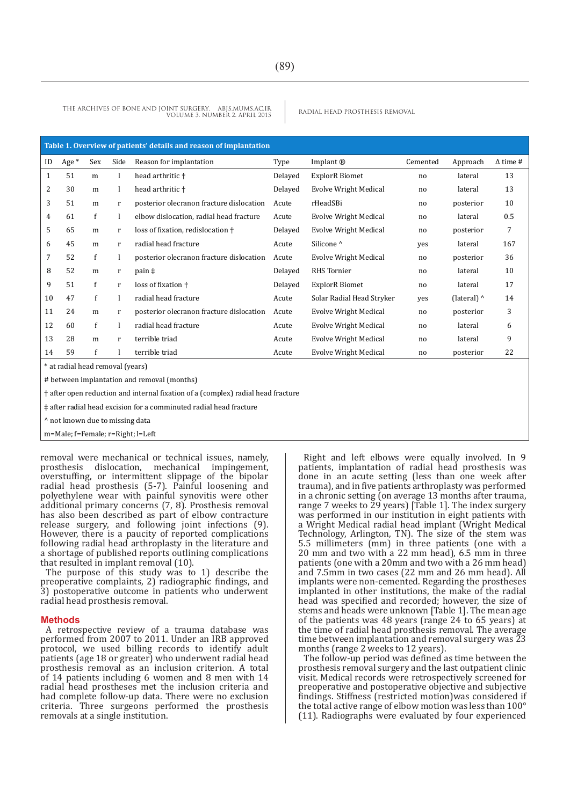| Table 1. Overview of patients' details and reason of implantation |         |              |              |                                          |         |                              |                |                    |                 |
|-------------------------------------------------------------------|---------|--------------|--------------|------------------------------------------|---------|------------------------------|----------------|--------------------|-----------------|
| ID                                                                | Age $*$ | Sex          | Side         | Reason for implantation                  | Type    | Implant $\circledR$          | Cemented       | Approach           | $\Delta$ time # |
| $\mathbf{1}$                                                      | 51      | m            |              | head arthritic +                         | Delayed | <b>ExplorR</b> Biomet        | no             | lateral            | 13              |
| 2                                                                 | 30      | m            |              | head arthritic +                         | Delayed | <b>Evolve Wright Medical</b> | no             | lateral            | 13              |
| 3                                                                 | 51      | m            | r            | posterior olecranon fracture dislocation | Acute   | rHeadSBi                     | no             | posterior          | 10              |
| 4                                                                 | 61      | $\mathbf{f}$ | 1            | elbow dislocation, radial head fracture  | Acute   | Evolve Wright Medical        | n <sub>0</sub> | lateral            | 0.5             |
| 5                                                                 | 65      | m            | r            | loss of fixation, redislocation +        | Delayed | <b>Evolve Wright Medical</b> | no             | posterior          | 7               |
| 6                                                                 | 45      | m            | $\mathbf{r}$ | radial head fracture                     | Acute   | Silicone <sup>^</sup>        | yes            | lateral            | 167             |
| 7                                                                 | 52      | f            |              | posterior olecranon fracture dislocation | Acute   | Evolve Wright Medical        | no             | posterior          | 36              |
| 8                                                                 | 52      | m            | r            | pain <sup>‡</sup>                        | Delayed | <b>RHS</b> Tornier           | no             | lateral            | 10              |
| 9                                                                 | 51      | $\mathbf{f}$ | $\mathbf{r}$ | loss of fixation +                       | Delayed | <b>ExplorR</b> Biomet        | no             | lateral            | 17              |
| 10                                                                | 47      | $\mathbf{f}$ |              | radial head fracture                     | Acute   | Solar Radial Head Stryker    | yes            | (lateral) $\wedge$ | 14              |
| 11                                                                | 24      | m            | r            | posterior olecranon fracture dislocation | Acute   | Evolve Wright Medical        | no             | posterior          | 3               |
| 12                                                                | 60      | $\mathbf{f}$ |              | radial head fracture                     | Acute   | Evolve Wright Medical        | no             | lateral            | 6               |
| 13                                                                | 28      | m            | r            | terrible triad                           | Acute   | Evolve Wright Medical        | no             | lateral            | 9               |
| 14                                                                | 59      | f            |              | terrible triad                           | Acute   | <b>Evolve Wright Medical</b> | no             | posterior          | 22              |

\* at radial head removal (years)

# between implantation and removal (months)

† after open reduction and internal fixation of a (complex) radial head fracture

‡ after radial head excision for a comminuted radial head fracture

^ not known due to missing data

m=Male; f=Female; r=Right; l=Left

removal were mechanical or technical issues, namely, prosthesis dislocation, mechanical impingement, overstuffing, or intermittent slippage of the bipolar radial head prosthesis (5-7). Painful loosening and polyethylene wear with painful synovitis were other additional primary concerns (7, 8). Prosthesis removal has also been described as part of elbow contracture release surgery, and following joint infections (9). However, there is a paucity of reported complications following radial head arthroplasty in the literature and a shortage of published reports outlining complications that resulted in implant removal (10).

The purpose of this study was to 1) describe the preoperative complaints, 2) radiographic findings, and 3) postoperative outcome in patients who underwent radial head prosthesis removal.

#### **Methods**

A retrospective review of a trauma database was performed from 2007 to 2011. Under an IRB approved protocol, we used billing records to identify adult patients (age 18 or greater) who underwent radial head prosthesis removal as an inclusion criterion. A total of 14 patients including 6 women and 8 men with 14 radial head prostheses met the inclusion criteria and had complete follow-up data. There were no exclusion criteria. Three surgeons performed the prosthesis removals at a single institution.

Right and left elbows were equally involved. In 9 patients, implantation of radial head prosthesis was done in an acute setting (less than one week after trauma), and in five patients arthroplasty was performed in a chronic setting (on average 13 months after trauma, range 7 weeks to 29 years) [Table 1]. The index surgery was performed in our institution in eight patients with a Wright Medical radial head implant (Wright Medical Technology, Arlington, TN). The size of the stem was 5.5 millimeters (mm) in three patients (one with a 20 mm and two with a 22 mm head), 6.5 mm in three patients (one with a 20mm and two with a 26 mm head) and 7.5mm in two cases (22 mm and 26 mm head). All implants were non-cemented. Regarding the prostheses implanted in other institutions, the make of the radial head was specified and recorded; however, the size of stems and heads were unknown [Table 1]. The mean age of the patients was 48 years (range 24 to 65 years) at the time of radial head prosthesis removal. The average time between implantation and removal surgery was  $\bar{2}3$ months (range 2 weeks to 12 years).

The follow-up period was defined as time between the prosthesis removal surgery and the last outpatient clinic visit. Medical records were retrospectively screened for preoperative and postoperative objective and subjective findings. Stiffness (restricted motion)was considered if the total active range of elbow motion was less than 100° (11). Radiographs were evaluated by four experienced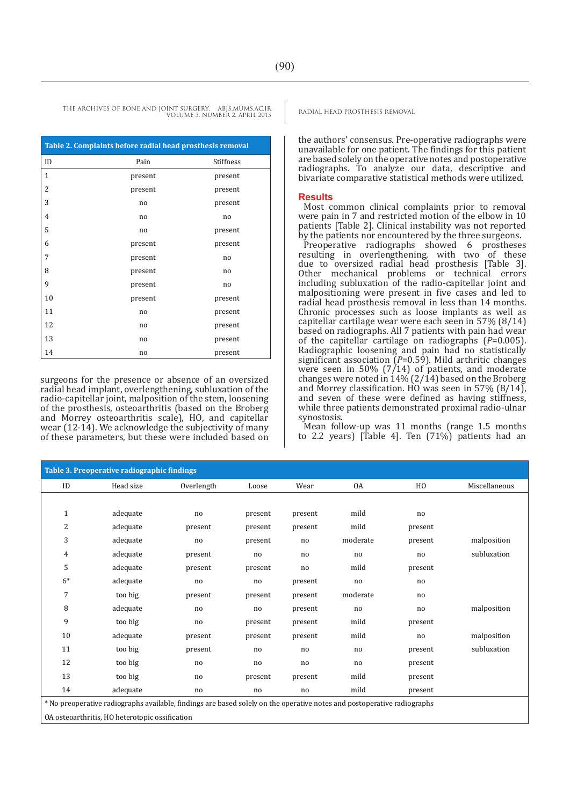| Table 2. Complaints before radial head prosthesis removal |         |                |  |  |  |  |
|-----------------------------------------------------------|---------|----------------|--|--|--|--|
| ID                                                        | Pain    | Stiffness      |  |  |  |  |
| 1                                                         | present | present        |  |  |  |  |
| 2                                                         | present | present        |  |  |  |  |
| 3                                                         | no      | present        |  |  |  |  |
| $\overline{4}$                                            | no      | no             |  |  |  |  |
| 5                                                         | no      | present        |  |  |  |  |
| 6                                                         | present | present        |  |  |  |  |
| 7                                                         | present | no             |  |  |  |  |
| 8                                                         | present | n <sub>0</sub> |  |  |  |  |
| 9                                                         | present | no             |  |  |  |  |
| 10                                                        | present | present        |  |  |  |  |
| 11                                                        | no      | present        |  |  |  |  |
| 12                                                        | no      | present        |  |  |  |  |
| 13                                                        | no      | present        |  |  |  |  |
| 14                                                        | no      | present        |  |  |  |  |

surgeons for the presence or absence of an oversized radial head implant, overlengthening, subluxation of the radio-capitellar joint, malposition of the stem, loosening of the prosthesis, osteoarthritis (based on the Broberg and Morrey osteoarthritis scale), HO, and capitellar wear (12-14). We acknowledge the subjectivity of many of these parameters, but these were included based on

the authors' consensus. Pre-operative radiographs were unavailable for one patient. The findings for this patient are based solely on the operative notes and postoperative radiographs. To analyze our data, descriptive and bivariate comparative statistical methods were utilized.

#### **Results**

Most common clinical complaints prior to removal were pain in 7 and restricted motion of the elbow in 10 patients [Table 2]. Clinical instability was not reported by the patients nor encountered by the three surgeons.

Preoperative radiographs showed 6 prostheses resulting in overlengthening, with two of these due to oversized radial head prosthesis [Table 3]. Other mechanical problems or technical errors including subluxation of the radio-capitellar joint and malpositioning were present in five cases and led to radial head prosthesis removal in less than 14 months. Chronic processes such as loose implants as well as capitellar cartilage wear were each seen in 57% (8/14) based on radiographs. All 7 patients with pain had wear of the capitellar cartilage on radiographs (*P*=0.005). Radiographic loosening and pain had no statistically significant association (*P*=0.59). Mild arthritic changes were seen in 50%  $(7/14)$  of patients, and moderate changes were noted in 14% (2/14) based on the Broberg and Morrey classification. HO was seen in 57% (8/14), and seven of these were defined as having stiffness, while three patients demonstrated proximal radio-ulnar synostosis.

Mean follow-up was 11 months (range 1.5 months to 2.2 years) [Table 4]. Ten (71%) patients had an

| Table 3. Preoperative radiographic findings                                                                             |           |            |         |         |          |         |               |
|-------------------------------------------------------------------------------------------------------------------------|-----------|------------|---------|---------|----------|---------|---------------|
| ID                                                                                                                      | Head size | Overlength | Loose   | Wear    | 0A       | HO      | Miscellaneous |
|                                                                                                                         |           |            |         |         |          |         |               |
| $\mathbf{1}$                                                                                                            | adequate  | no         | present | present | mild     | no      |               |
| $\overline{2}$                                                                                                          | adequate  | present    | present | present | mild     | present |               |
| 3                                                                                                                       | adequate  | no         | present | no      | moderate | present | malposition   |
| 4                                                                                                                       | adequate  | present    | no      | no      | no       | no      | subluxation   |
| 5                                                                                                                       | adequate  | present    | present | no      | mild     | present |               |
| $6*$                                                                                                                    | adequate  | no         | no      | present | no       | no      |               |
| 7                                                                                                                       | too big   | present    | present | present | moderate | no      |               |
| 8                                                                                                                       | adequate  | no         | no      | present | no       | no      | malposition   |
| 9                                                                                                                       | too big   | no         | present | present | mild     | present |               |
| 10                                                                                                                      | adequate  | present    | present | present | mild     | no      | malposition   |
| 11                                                                                                                      | too big   | present    | no      | no      | no       | present | subluxation   |
| 12                                                                                                                      | too big   | no         | no      | no      | no       | present |               |
| 13                                                                                                                      | too big   | no         | present | present | mild     | present |               |
| 14                                                                                                                      | adequate  | no         | no      | no      | mild     | present |               |
| * No preoperative radiographs available, findings are based solely on the operative notes and postoperative radiographs |           |            |         |         |          |         |               |
| OA osteoarthritis, HO heterotopic ossification                                                                          |           |            |         |         |          |         |               |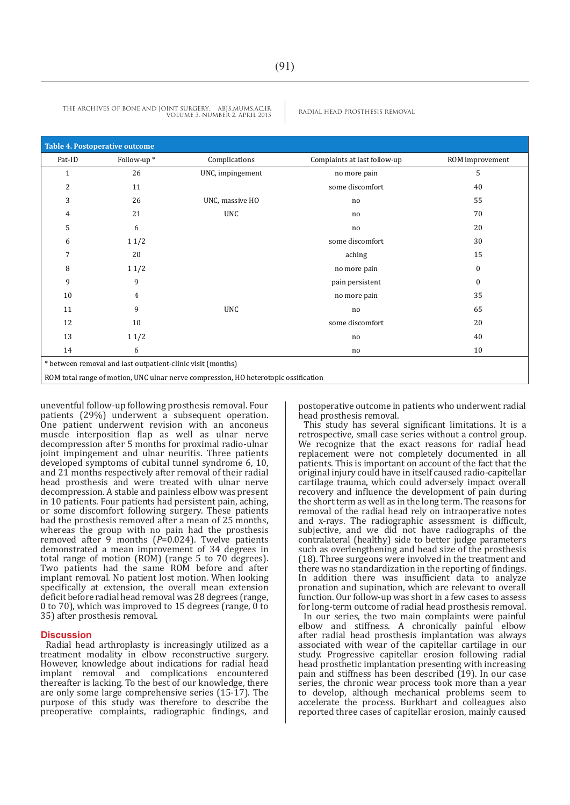| <b>Table 4. Postoperative outcome</b>                                               |            |                  |                              |                 |  |  |  |
|-------------------------------------------------------------------------------------|------------|------------------|------------------------------|-----------------|--|--|--|
| Pat-ID                                                                              | Follow-up* | Complications    | Complaints at last follow-up | ROM improvement |  |  |  |
| $\mathbf{1}$                                                                        | 26         | UNC, impingement | no more pain                 | 5               |  |  |  |
| $\overline{2}$                                                                      | 11         |                  | some discomfort              | 40              |  |  |  |
| 3                                                                                   | 26         | UNC, massive HO  | no                           | 55              |  |  |  |
| 4                                                                                   | 21         | <b>UNC</b>       | no                           | 70              |  |  |  |
| 5                                                                                   | 6          |                  | no                           | 20              |  |  |  |
| 6                                                                                   | 11/2       |                  | some discomfort              | 30              |  |  |  |
| 7                                                                                   | 20         |                  | aching                       | 15              |  |  |  |
| 8                                                                                   | 11/2       |                  | no more pain                 | $\mathbf{0}$    |  |  |  |
| 9                                                                                   | 9          |                  | pain persistent              | $\mathbf{0}$    |  |  |  |
| 10                                                                                  | 4          |                  | no more pain                 | 35              |  |  |  |
| 11                                                                                  | 9          | <b>UNC</b>       | no                           | 65              |  |  |  |
| 12                                                                                  | 10         |                  | some discomfort              | 20              |  |  |  |
| 13                                                                                  | 11/2       |                  | no                           | 40              |  |  |  |
| 14                                                                                  | 6          |                  | no                           | 10              |  |  |  |
| * between removal and last outpatient-clinic visit (months)                         |            |                  |                              |                 |  |  |  |
| ROM total range of motion, UNC ulnar nerve compression, HO heterotopic ossification |            |                  |                              |                 |  |  |  |

uneventful follow-up following prosthesis removal. Four patients (29%) underwent a subsequent operation. One patient underwent revision with an anconeus muscle interposition flap as well as ulnar nerve decompression after 5 months for proximal radio-ulnar joint impingement and ulnar neuritis. Three patients developed symptoms of cubital tunnel syndrome 6, 10, and 21 months respectively after removal of their radial head prosthesis and were treated with ulnar nerve decompression. A stable and painless elbow was present in 10 patients. Four patients had persistent pain, aching, or some discomfort following surgery. These patients had the prosthesis removed after a mean of 25 months. whereas the group with no pain had the prosthesis removed after 9 months ( $P=0.024$ ). Twelve patients demonstrated a mean improvement of 34 degrees in total range of motion (ROM) (range 5 to 70 degrees). Two patients had the same ROM before and after implant removal. No patient lost motion. When looking specifically at extension, the overall mean extension deficit before radial head removal was 28 degrees (range, 0 to 70), which was improved to 15 degrees (range, 0 to 35) after prosthesis removal.

#### **Discussion**

Radial head arthroplasty is increasingly utilized as a treatment modality in elbow reconstructive surgery. However, knowledge about indications for radial head implant removal and complications encountered thereafter is lacking. To the best of our knowledge, there are only some large comprehensive series (15-17). The purpose of this study was therefore to describe the preoperative complaints, radiographic findings, and postoperative outcome in patients who underwent radial head prosthesis removal.

This study has several significant limitations. It is a retrospective, small case series without a control group. We recognize that the exact reasons for radial head replacement were not completely documented in all patients. This is important on account of the fact that the original injury could have in itself caused radio-capitellar cartilage trauma, which could adversely impact overall recovery and influence the development of pain during the short term as well as in the long term. The reasons for removal of the radial head rely on intraoperative notes and x-rays. The radiographic assessment is difficult, subjective, and we did not have radiographs of the contralateral (healthy) side to better judge parameters such as overlengthening and head size of the prosthesis (18). Three surgeons were involved in the treatment and there was no standardization in the reporting of findings. In addition there was insufficient data to analyze pronation and supination, which are relevant to overall function. Our follow-up was short in a few cases to assess for long-term outcome of radial head prosthesis removal.

In our series, the two main complaints were painful elbow and stiffness. A chronically painful elbow after radial head prosthesis implantation was always associated with wear of the capitellar cartilage in our study. Progressive capitellar erosion following radial head prosthetic implantation presenting with increasing pain and stiffness has been described (19). In our case series, the chronic wear process took more than a year to develop, although mechanical problems seem to accelerate the process. Burkhart and colleagues also reported three cases of capitellar erosion, mainly caused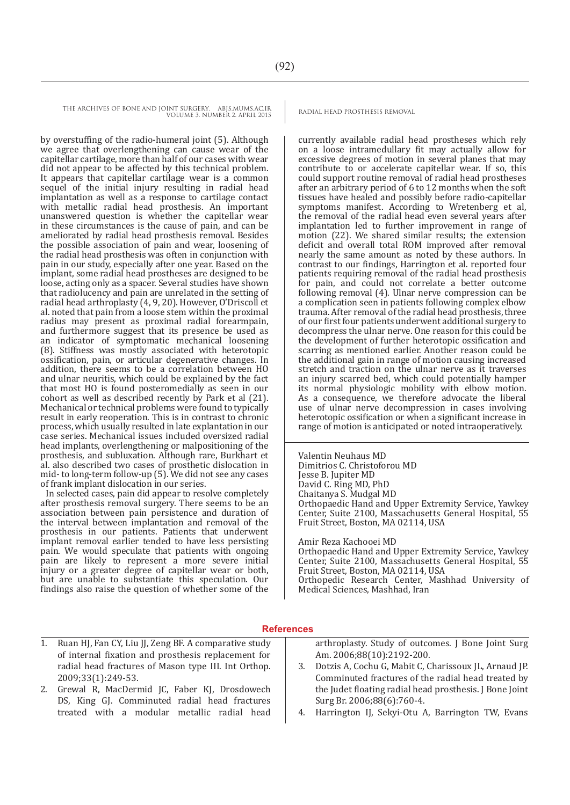by overstuffing of the radio-humeral joint (5). Although we agree that overlengthening can cause wear of the capitellar cartilage, more than half of our cases with wear did not appear to be affected by this technical problem. It appears that capitellar cartilage wear is a common sequel of the initial injury resulting in radial head implantation as well as a response to cartilage contact with metallic radial head prosthesis. An important unanswered question is whether the capitellar wear in these circumstances is the cause of pain, and can be ameliorated by radial head prosthesis removal. Besides the possible association of pain and wear, loosening of the radial head prosthesis was often in conjunction with pain in our study, especially after one year. Based on the implant, some radial head prostheses are designed to be loose, acting only as a spacer. Several studies have shown that radiolucency and pain are unrelated in the setting of radial head arthroplasty (4, 9, 20). However, O'Driscoll et al. noted that pain from a loose stem within the proximal radius may present as proximal radial forearmpain, and furthermore suggest that its presence be used as an indicator of symptomatic mechanical loosening (8). Stiffness was mostly associated with heterotopic ossification, pain, or articular degenerative changes. In addition, there seems to be a correlation between HO and ulnar neuritis, which could be explained by the fact that most HO is found posteromedially as seen in our cohort as well as described recently by Park et al (21). Mechanical or technical problems were found to typically result in early reoperation. This is in contrast to chronic process, which usually resulted in late explantation in our case series. Mechanical issues included oversized radial head implants, overlengthening or malpositioning of the prosthesis, and subluxation. Although rare, Burkhart et al. also described two cases of prosthetic dislocation in mid- to long-term follow-up (5). We did not see any cases of frank implant dislocation in our series.

In selected cases, pain did appear to resolve completely after prosthesis removal surgery. There seems to be an association between pain persistence and duration of the interval between implantation and removal of the prosthesis in our patients. Patients that underwent implant removal earlier tended to have less persisting pain. We would speculate that patients with ongoing pain are likely to represent a more severe initial injury or a greater degree of capitellar wear or both, but are unable to substantiate this speculation. Our findings also raise the question of whether some of the

currently available radial head prostheses which rely on a loose intramedullary fit may actually allow for excessive degrees of motion in several planes that may contribute to or accelerate capitellar wear. If so, this could support routine removal of radial head prostheses after an arbitrary period of 6 to 12 months when the soft tissues have healed and possibly before radio-capitellar symptoms manifest. According to Wretenberg et al, the removal of the radial head even several years after implantation led to further improvement in range of motion (22). We shared similar results; the extension deficit and overall total ROM improved after removal nearly the same amount as noted by these authors. In contrast to our findings, Harrington et al. reported four patients requiring removal of the radial head prosthesis for pain, and could not correlate a better outcome following removal (4). Ulnar nerve compression can be a complication seen in patients following complex elbow trauma. After removal of the radial head prosthesis, three of our first four patients underwent additional surgery to decompress the ulnar nerve. One reason for this could be the development of further heterotopic ossification and scarring as mentioned earlier. Another reason could be the additional gain in range of motion causing increased stretch and traction on the ulnar nerve as it traverses an injury scarred bed, which could potentially hamper its normal physiologic mobility with elbow motion. As a consequence, we therefore advocate the liberal use of ulnar nerve decompression in cases involving heterotopic ossification or when a significant increase in range of motion is anticipated or noted intraoperatively.

Valentin Neuhaus MD Dimitrios C. Christoforou MD Jesse B. Jupiter MD David C. Ring MD, PhD Chaitanya S. Mudgal MD Orthopaedic Hand and Upper Extremity Service, Yawkey Center, Suite 2100, Massachusetts General Hospital, 55 Fruit Street, Boston, MA 02114, USA

Amir Reza Kachooei MD Orthopaedic Hand and Upper Extremity Service, Yawkey Center, Suite 2100, Massachusetts General Hospital, 55 Fruit Street, Boston, MA 02114, USA Orthopedic Research Center, Mashhad University of Medical Sciences, Mashhad, Iran

#### **References**

- arthroplasty. Study of outcomes. J Bone Joint Surg Am. 2006;88(10):2192-200. 3. Dotzis A, Cochu G, Mabit C, Charissoux JL, Arnaud JP. Comminuted fractures of the radial head treated by the Judet floating radial head prosthesis. J Bone Joint Surg Br. 2006;88(6):760-4. 1. Ruan HJ, Fan CY, Liu JJ, Zeng BF. A comparative study of internal fixation and prosthesis replacement for radial head fractures of Mason type III. Int Orthop. 2009;33(1):249-53. 2. Grewal R, MacDermid JC, Faber KJ, Drosdowech
	- 4. Harrington IJ, Sekyi-Otu A, Barrington TW, Evans
- 
- DS, King GJ. Comminuted radial head fractures treated with a modular metallic radial head